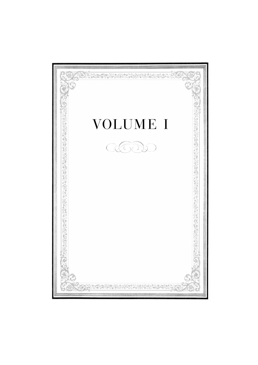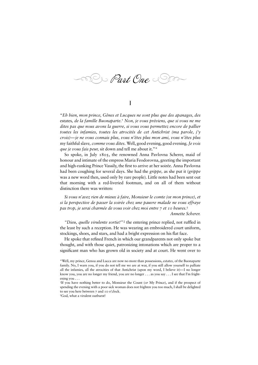

I

"*Eh bien, mon prince, Gênes et Lucques ne sont plus que des apanages, des* estates*, de la famille Buonaparte.*<sup>1</sup> *Non, je vous préviens, que si vous ne me dites pas que nous avons la guerre, si vous vous permettez encore de pallier toutes les infamies, toutes les atrocités de cet Antichrist (ma parole, j'y crois)—je ne vous connais plus, vous n'êtes plus mon ami, vous n'êtes plus* my faithful slave*, comme vous dites.* Well, good evening, good evening. *Je vois que je vous fais peur,* sit down and tell me about it."\*

So spoke, in July 1805, the renowned Anna Pavlovna Scherer, maid of honour and intimate of the empress Maria Feodorovna, greeting the important and high-ranking Prince Vassily, the first to arrive at her soirée. Anna Pavlovna had been coughing for several days. She had the *grippe,* as she put it (*grippe* was a new word then, used only by rare people). Little notes had been sent out that morning with a red-liveried footman, and on all of them without distinction there was written:

*Si vous n'avez rien de mieux à faire, Monsieur le comte (*or *mon prince), et si la perspective de passer la soirée chez une pauvre malade ne vous effraye pas trop, je serai charmée de vous voir chez moi entre 7 et 10 heures.*†

*Annette Scherer.*

*"Dieu, quelle virulente sortie!"*‡ the entering prince replied, not ruffled in the least by such a reception. He was wearing an embroidered court uniform, stockings, shoes, and stars, and had a bright expression on his flat face.

He spoke that refined French in which our grandparents not only spoke but thought, and with those quiet, patronizing intonations which are proper to a significant man who has grown old in society and at court. He went over to

‡God, what a virulent outburst!

<sup>\*</sup>Well, my prince, Genoa and Lucca are now no more than possessions, *estates,* of the Buonaparte family. No, I warn you, if you do not tell me we are at war, if you still allow yourself to palliate all the infamies, all the atrocities of that Antichrist (upon my word, I believe it)—I no longer know you, you are no longer my friend, you are no longer . . . as you say . . . I see that I'm frightening you . . .

<sup>†</sup>If you have nothing better to do, Monsieur the Count (*or* My Prince), and if the prospect of spending the evening with a poor sick woman does not frighten you too much, I shall be delighted to see you here between 7 and 10 o'clock.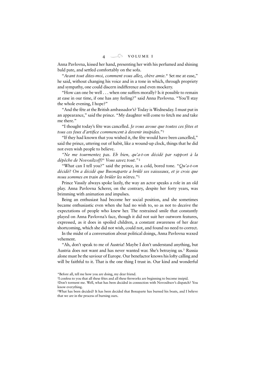Anna Pavlovna, kissed her hand, presenting her with his perfumed and shining bald pate, and settled comfortably on the sofa.

"*Avant tout dites-moi, comment vous allez, chère amie.*\* Set me at ease," he said, without changing his voice and in a tone in which, through propriety and sympathy, one could discern indifference and even mockery.

"How can one be well . . . when one suffers morally? Is it possible to remain at ease in our time, if one has any feeling?" said Anna Pavlovna. "You'll stay the whole evening, I hope?"

"And the fête at the British ambassador's? Today is Wednesday. I must put in an appearance," said the prince. "My daughter will come to fetch me and take me there."

"I thought today's fête was cancelled. *Je vous avoue que toutes ces fêtes et* tous ces feux d'artifice commencent à devenir insipides."<sup>†</sup>

"If they had known that you wished it, the fête would have been cancelled," said the prince, uttering out of habit, like a wound-up clock, things that he did not even wish people to believe.

*"Ne me tourmentez pas. Eh bien, qu'a-t-on décidé par rapport à la dépêche de Novosilzoff?*<sup>2</sup> *Vous savez tout."*‡

"What can I tell you?" said the prince, in a cold, bored tone. "*Qu'a-t-on décidé? On a décidé que Buonaparte a brûlé ses vaisseaux, et je crois que nous sommes en train de brûler les nôtres.*"§

Prince Vassily always spoke lazily, the way an actor speaks a role in an old play. Anna Pavlovna Scherer, on the contrary, despite her forty years, was brimming with animation and impulses.

Being an enthusiast had become her social position, and she sometimes became enthusiastic even when she had no wish to, so as not to deceive the expectations of people who knew her. The restrained smile that constantly played on Anna Pavlovna's face, though it did not suit her outworn features, expressed, as it does in spoiled children, a constant awareness of her dear shortcoming, which she did not wish, could not, and found no need to correct.

In the midst of a conversation about political doings, Anna Pavlovna waxed vehement.

"Ah, don't speak to me of Austria! Maybe I don't understand anything, but Austria does not want and has never wanted war. She's betraying us.<sup>3</sup> Russia alone must be the saviour of Europe. Our benefactor knows his lofty calling and will be faithful to it. That is the one thing I trust in. Our kind and wonderful

<sup>\*</sup>Before all, tell me how you are doing, my dear friend.

<sup>†</sup>I confess to you that all these fêtes and all these fireworks are beginning to become insipid.

<sup>‡</sup>Don't torment me. Well, what has been decided in connection with Novosiltsov's dispatch? You know everything.

<sup>§</sup>What has been decided? It has been decided that Bonaparte has burned his boats, and I believe that we are in the process of burning ours.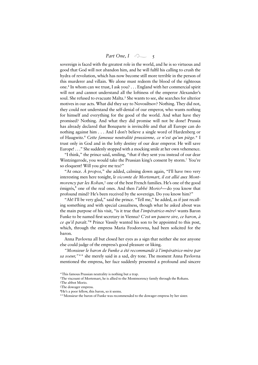sovereign is faced with the greatest role in the world, and he is so virtuous and good that God will not abandon him, and he will fulfil his calling to crush the hydra of revolution, which has now become still more terrible in the person of this murderer and villain. We alone must redeem the blood of the righteous one.<sup>4</sup> In whom can we trust, I ask you? . . . England with her commercial spirit will not and cannot understand all the loftiness of the emperor Alexander's soul. She refused to evacuate Malta.<sup>5</sup> She wants to see, she searches for ulterior motives in our acts. What did they say to Novosiltsov? Nothing. They did not, they could not understand the self-denial of our emperor, who wants nothing for himself and everything for the good of the world. And what have they promised? Nothing. And what they did promise will not be done! Prussia has already declared that Bonaparte is invincible and that all Europe can do nothing against him . . . And I don't believe a single word of Hardenberg or of Haugwitz.<sup>6</sup> *Cette fameuse neutralité prussienne, ce n'est qu'un piège.*\* I trust only in God and in the lofty destiny of our dear emperor. He will save Europe! . . ." She suddenly stopped with a mocking smile at her own vehemence.

"I think," the prince said, smiling, "that if they sent you instead of our dear Wintzingerode, you would take the Prussian king's consent by storm.<sup>7</sup> You're so eloquent! Will you give me tea?"

"At once. *À propos,*" she added, calming down again, "I'll have two very interesting men here tonight, *le vicomte de Mortemart, il est allié aux Montmorency par les Rohan,*† one of the best French families. He's one of the good émigrés,<sup>8</sup> one of the real ones. And then *l'abbé Morio*‡—do you know that profound mind? He's been received by the sovereign. Do you know him?"

"Ah! I'll be very glad," said the prince. "Tell me," he added, as if just recalling something and with special casualness, though what he asked about was the main purpose of his visit, "is it true that *l'impératrice-mère*§ wants Baron Funke to be named first secretary in Vienna? *C'est un pauvre sire, ce baron, à ce qu'il paraît.*"# Prince Vassily wanted his son to be appointed to this post, which, through the empress Maria Feodorovna, had been solicited for the baron.

Anna Pavlovna all but closed her eyes as a sign that neither she nor anyone else could judge of the empress's good pleasure or liking.

*"Monsieur le baron de Funke a été recommandé à l'impératrice-mère par sa soeur,"*\*\* she merely said in a sad, dry tone. The moment Anna Pavlovna mentioned the empress, her face suddenly presented a profound and sincere

†The viscount of Mortemart, he is allied to the Montmorency family through the Rohans.

<sup>\*</sup>This famous Prussian neutrality is nothing but a trap.

<sup>‡</sup>The abbot Morio.

<sup>§</sup>The dowager empress.

<sup>#</sup>He's a poor fellow, this baron, so it seems.

<sup>\*\*</sup>Monsieur the baron of Funke was recommended to the dowager empress by her sister.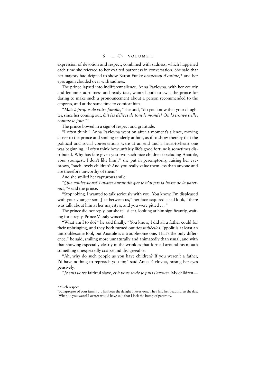expression of devotion and respect, combined with sadness, which happened each time she referred to her exalted patroness in conversation. She said that her majesty had deigned to show Baron Funke *beaucoup d'estime,*\* and her eyes again clouded over with sadness.

The prince lapsed into indifferent silence. Anna Pavlovna, with her courtly and feminine adroitness and ready tact, wanted both to swat the prince for daring to make such a pronouncement about a person recommended to the empress, and at the same time to comfort him.

*"Mais à propos de votre famille,*" she said, "do you know that your daughter, since her coming out, *fait les délices de tout le monde? On la trouve belle, comme le jour."*†

The prince bowed in a sign of respect and gratitude.

"I often think," Anna Pavlovna went on after a moment's silence, moving closer to the prince and smiling tenderly at him, as if to show thereby that the political and social conversations were at an end and a heart-to-heart one was beginning, "I often think how unfairly life's good fortune is sometimes distributed. Why has fate given you two such nice children (excluding Anatole, your youngest, I don't like him)," she put in peremptorily, raising her eyebrows, "such lovely children? And you really value them less than anyone and are therefore unworthy of them."

And she smiled her rapturous smile.

*"Que voulez-vous? Lavater aurait dit que je n'ai pas la bosse de la paternité,"*‡ said the prince.

"Stop joking. I wanted to talk seriously with you. You know, I'm displeased with your younger son. Just between us," her face acquired a sad look, "there was talk about him at her majesty's, and you were pitied . . ."

The prince did not reply, but she fell silent, looking at him significantly, waiting for a reply. Prince Vassily winced.

"What am I to do?" he said finally. "You know, I did all a father could for their upbringing, and they both turned out *des imbéciles.* Ippolit is at least an untroublesome fool, but Anatole is a troublesome one. That's the only difference," he said, smiling more unnaturally and animatedly than usual, and with that showing especially clearly in the wrinkles that formed around his mouth something unexpectedly coarse and disagreeable.

"Ah, why do such people as you have children? If you weren't a father, I'd have nothing to reproach you for," said Anna Pavlovna, raising her eyes pensively.

*"Je suis votre* faithful slave, *et à vous seule je puis l'avouer.* My children—

<sup>\*</sup>Much respect.

<sup>†</sup>But apropos of your family . . . has been the delight of everyone. They find her beautiful as the day. ‡What do you want? Lavater would have said that I lack the bump of paternity.